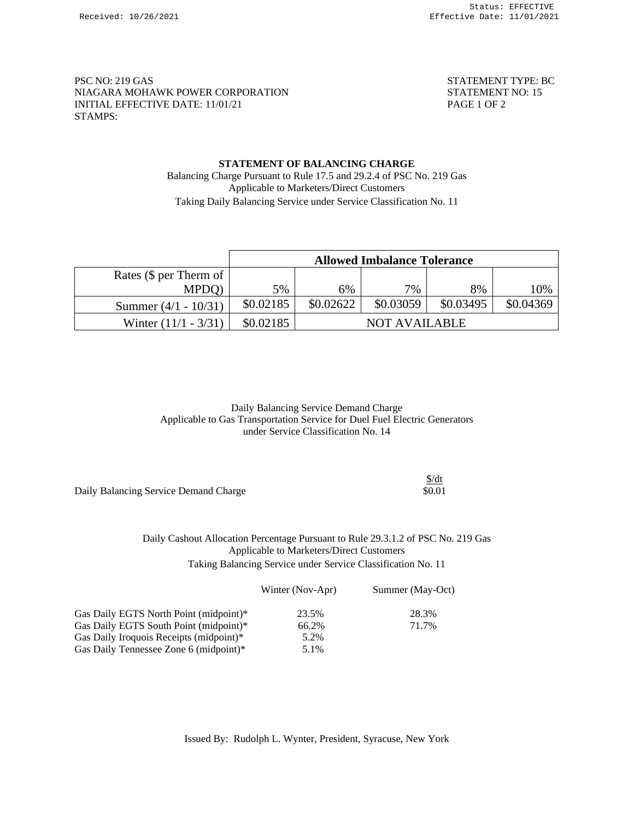PSC NO: 219 GAS STATEMENT TYPE: BC NIAGARA MOHAWK POWER CORPORATION STATEMENT NO: 15 INITIAL EFFECTIVE DATE: 11/01/21 PAGE 1 OF 2 STAMPS:

## **STATEMENT OF BALANCING CHARGE** Balancing Charge Pursuant to Rule 17.5 and 29.2.4 of PSC No. 219 Gas Applicable to Marketers/Direct Customers Taking Daily Balancing Service under Service Classification No. 11

|                              | <b>Allowed Imbalance Tolerance</b> |           |                      |           |           |
|------------------------------|------------------------------------|-----------|----------------------|-----------|-----------|
| Rates ( $\oint$ per Therm of |                                    |           |                      |           |           |
| MPDO)                        | 5%                                 | 6%        | 7%                   | 8%        | 10%       |
| Summer $(4/1 - 10/31)$       | \$0.02185                          | \$0.02622 | \$0.03059            | \$0.03495 | \$0.04369 |
| Winter $(11/1 - 3/31)$       | \$0.02185                          |           | <b>NOT AVAILABLE</b> |           |           |

Daily Balancing Service Demand Charge Applicable to Gas Transportation Service for Duel Fuel Electric Generators under Service Classification No. 14

|                                       | <u>was</u> |
|---------------------------------------|------------|
| Daily Balancing Service Demand Charge | \$0.01     |
|                                       |            |

Daily Cashout Allocation Percentage Pursuant to Rule 29.3.1.2 of PSC No. 219 Gas Applicable to Marketers/Direct Customers Taking Balancing Service under Service Classification No. 11

Winter (Nov-Apr) Summer (May-Oct)

\$/dt

| Gas Daily EGTS North Point (midpoint)*  | 23.5% | 28.3% |
|-----------------------------------------|-------|-------|
| Gas Daily EGTS South Point (midpoint)*  | 66.2% | 71.7% |
| Gas Daily Iroquois Receipts (midpoint)* | 5.2%  |       |
| Gas Daily Tennessee Zone 6 (midpoint)*  | 5.1%  |       |
|                                         |       |       |